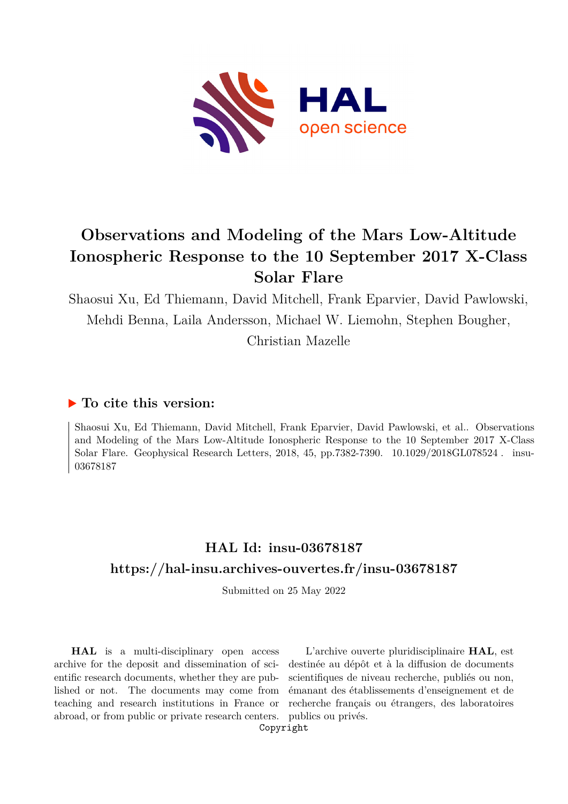

# **Observations and Modeling of the Mars Low-Altitude Ionospheric Response to the 10 September 2017 X-Class Solar Flare**

Shaosui Xu, Ed Thiemann, David Mitchell, Frank Eparvier, David Pawlowski, Mehdi Benna, Laila Andersson, Michael W. Liemohn, Stephen Bougher,

Christian Mazelle

## **To cite this version:**

Shaosui Xu, Ed Thiemann, David Mitchell, Frank Eparvier, David Pawlowski, et al.. Observations and Modeling of the Mars Low-Altitude Ionospheric Response to the 10 September 2017 X-Class Solar Flare. Geophysical Research Letters, 2018, 45, pp.7382-7390.  $10.1029/2018$ GL078524. insu-03678187

# **HAL Id: insu-03678187 <https://hal-insu.archives-ouvertes.fr/insu-03678187>**

Submitted on 25 May 2022

**HAL** is a multi-disciplinary open access archive for the deposit and dissemination of scientific research documents, whether they are published or not. The documents may come from teaching and research institutions in France or abroad, or from public or private research centers.

L'archive ouverte pluridisciplinaire **HAL**, est destinée au dépôt et à la diffusion de documents scientifiques de niveau recherche, publiés ou non, émanant des établissements d'enseignement et de recherche français ou étrangers, des laboratoires publics ou privés.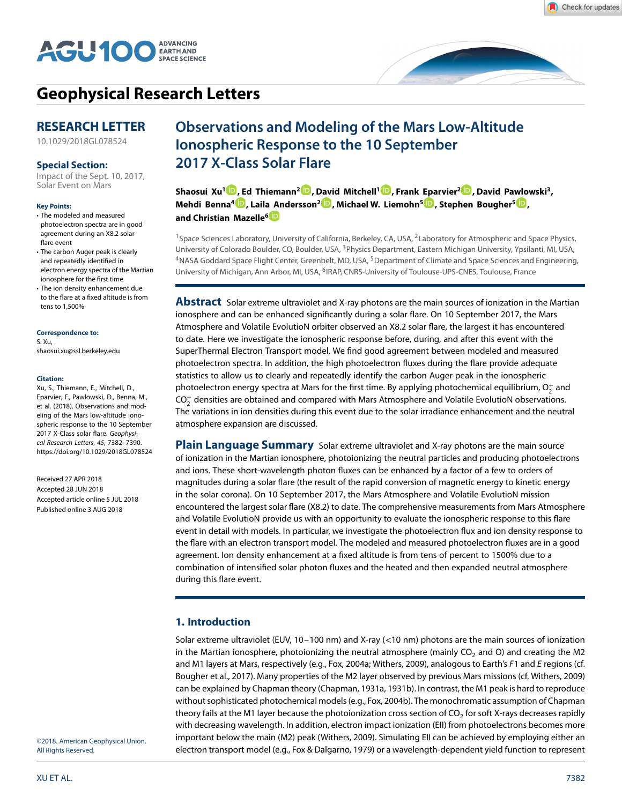



## **[Geophysical Research Letters](http://onlinelibrary.wiley.com/journal/10.1002/(ISSN)1944-8007)**

## **RESEARCH LETTER**

[10.1029/2018GL078524](http://dx.doi.org/10.1029/2018GL078524)

### **Special Section:**

[Impact of the Sept. 10, 2017,](http://agupubs.onlinelibrary.wiley.com/hub/issue/10.1002/(ISSN)1944-8007/specialSection/MARS_SOLAR1) Solar Event on Mars

#### **Key Points:**

- The modeled and measured photoelectron spectra are in good agreement during an X8.2 solar flare event
- The carbon Auger peak is clearly and repeatedly identified in electron energy spectra of the Martian ionosphere for the first time
- The ion density enhancement due to the flare at a fixed altitude is from tens to 1,500%

#### **Correspondence to:**

S. Xu, shaosui.xu@ssl.berkeley.edu

#### **Citation:**

Xu, S., Thiemann, E., Mitchell, D., Eparvier, F., Pawlowski, D., Benna, M., et al. (2018). Observations and modeling of the Mars low-altitude ionospheric response to the 10 September 2017 X-Class solar flare. Geophysical Research Letters, 45, 7382–7390. <https://doi.org/10.1029/2018GL078524>

Received 27 APR 2018 Accepted 28 JUN 2018 Accepted article online 5 JUL 2018 Published online 3 AUG 2018

# **Observations and Modeling of the Mars Low-Altitude Ionospheric Response to the 10 September 2017 X-Class Solar Flare**

**Shaosui Xu1 [,](http://orcid.org/0000-0002-5121-600X) [Ed](http://orcid.org/0000-0002-2770-4820) Thiemann2 [,](http://orcid.org/0000-0002-5305-9466) [Davi](http://orcid.org/0000-0002-6384-7036)d Mitchell1 [,](http://orcid.org/0000-0001-9154-7236) Frank [Epa](http://orcid.org/0000-0002-7039-2631)rvier2 [,](http://orcid.org/0000-0001-7143-2730) David Pa[wlo](http://orcid.org/0000-0002-4178-2729)wski3, Mehdi Benna<sup>4</sup> , Lail[a An](http://orcid.org/0000-0001-5332-9561)dersson<sup>2</sup> , Michael W. Liemohn5 , Stephen Bougher5 , and Christian Mazelle<sup>6</sup>**

<sup>1</sup> Space Sciences Laboratory, University of California, Berkeley, CA, USA, <sup>2</sup>Laboratory for Atmospheric and Space Physics, University of Colorado Boulder, CO, Boulder, USA, 3Physics Department, Eastern Michigan University, Ypsilanti, MI, USA, <sup>4</sup>NASA Goddard Space Flight Center, Greenbelt, MD, USA, <sup>5</sup>Department of Climate and Space Sciences and Engineering, University of Michigan, Ann Arbor, MI, USA, <sup>6</sup>IRAP, CNRS-University of Toulouse-UPS-CNES, Toulouse, France

**Abstract** Solar extreme ultraviolet and X-ray photons are the main sources of ionization in the Martian ionosphere and can be enhanced significantly during a solar flare. On 10 September 2017, the Mars Atmosphere and Volatile EvolutioN orbiter observed an X8.2 solar flare, the largest it has encountered to date. Here we investigate the ionospheric response before, during, and after this event with the SuperThermal Electron Transport model. We find good agreement between modeled and measured photoelectron spectra. In addition, the high photoelectron fluxes during the flare provide adequate statistics to allow us to clearly and repeatedly identify the carbon Auger peak in the ionospheric photoelectron energy spectra at Mars for the first time. By applying photochemical equilibrium,  $\mathrm{O}_2^+$  and  $\text{CO}_2^+$  densities are obtained and compared with Mars Atmosphere and Volatile EvolutioN observations. The variations in ion densities during this event due to the solar irradiance enhancement and the neutral atmosphere expansion are discussed.

**Plain Language Summary** Solar extreme ultraviolet and X-ray photons are the main source of ionization in the Martian ionosphere, photoionizing the neutral particles and producing photoelectrons and ions. These short-wavelength photon fluxes can be enhanced by a factor of a few to orders of magnitudes during a solar flare (the result of the rapid conversion of magnetic energy to kinetic energy in the solar corona). On 10 September 2017, the Mars Atmosphere and Volatile EvolutioN mission encountered the largest solar flare (X8.2) to date. The comprehensive measurements from Mars Atmosphere and Volatile EvolutioN provide us with an opportunity to evaluate the ionospheric response to this flare event in detail with models. In particular, we investigate the photoelectron flux and ion density response to the flare with an electron transport model. The modeled and measured photoelectron fluxes are in a good agreement. Ion density enhancement at a fixed altitude is from tens of percent to 1500% due to a combination of intensified solar photon fluxes and the heated and then expanded neutral atmosphere during this flare event.

### **1. Introduction**

Solar extreme ultraviolet (EUV, 10–100 nm) and X-ray (*<*10 nm) photons are the main sources of ionization in the Martian ionosphere, photoionizing the neutral atmosphere (mainly CO<sub>2</sub> and O) and creating the M2 and M1 layers at Mars, respectively (e.g., Fox, 2004a; Withers, 2009), analogous to Earth's F1 and E regions (cf. Bougher et al., 2017). Many properties of the M2 layer observed by previous Mars missions (cf. Withers, 2009) can be explained by Chapman theory (Chapman, 1931a, 1931b). In contrast, the M1 peak is hard to reproduce without sophisticated photochemical models (e.g., Fox, 2004b). The monochromatic assumption of Chapman theory fails at the M1 layer because the photoionization cross section of CO<sub>2</sub> for soft X-rays decreases rapidly with decreasing wavelength. In addition, electron impact ionization (EII) from photoelectrons becomes more important below the main (M2) peak (Withers, 2009). Simulating EII can be achieved by employing either an electron transport model (e.g., Fox & Dalgarno, 1979) or a wavelength-dependent yield function to represent

©2018. American Geophysical Union. All Rights Reserved.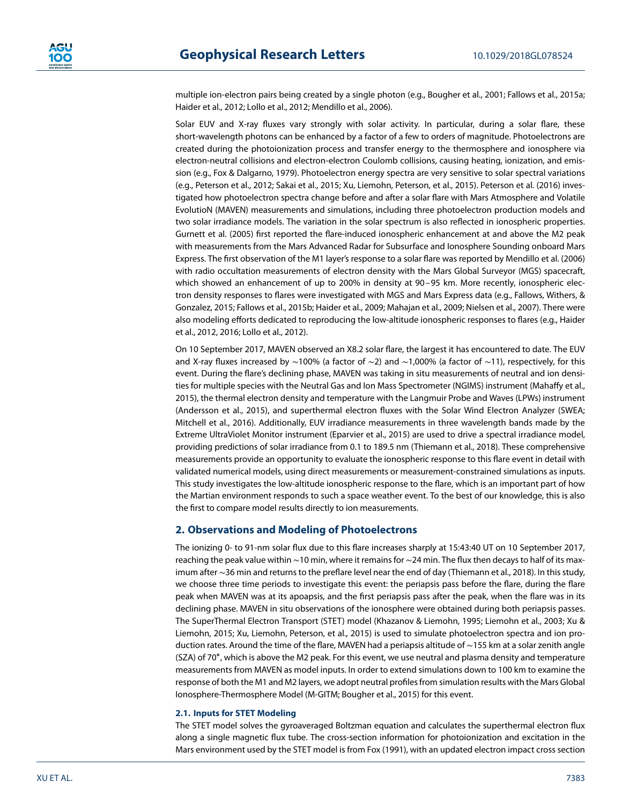multiple ion-electron pairs being created by a single photon (e.g., Bougher et al., 2001; Fallows et al., 2015a; Haider et al., 2012; Lollo et al., 2012; Mendillo et al., 2006).

Solar EUV and X-ray fluxes vary strongly with solar activity. In particular, during a solar flare, these short-wavelength photons can be enhanced by a factor of a few to orders of magnitude. Photoelectrons are created during the photoionization process and transfer energy to the thermosphere and ionosphere via electron-neutral collisions and electron-electron Coulomb collisions, causing heating, ionization, and emission (e.g., Fox & Dalgarno, 1979). Photoelectron energy spectra are very sensitive to solar spectral variations (e.g., Peterson et al., 2012; Sakai et al., 2015; Xu, Liemohn, Peterson, et al., 2015). Peterson et al. (2016) investigated how photoelectron spectra change before and after a solar flare with Mars Atmosphere and Volatile EvolutioN (MAVEN) measurements and simulations, including three photoelectron production models and two solar irradiance models. The variation in the solar spectrum is also reflected in ionospheric properties. Gurnett et al. (2005) first reported the flare-induced ionospheric enhancement at and above the M2 peak with measurements from the Mars Advanced Radar for Subsurface and Ionosphere Sounding onboard Mars Express. The first observation of the M1 layer's response to a solar flare was reported by Mendillo et al. (2006) with radio occultation measurements of electron density with the Mars Global Surveyor (MGS) spacecraft, which showed an enhancement of up to 200% in density at 90-95 km. More recently, ionospheric electron density responses to flares were investigated with MGS and Mars Express data (e.g., Fallows, Withers, & Gonzalez, 2015; Fallows et al., 2015b; Haider et al., 2009; Mahajan et al., 2009; Nielsen et al., 2007). There were also modeling efforts dedicated to reproducing the low-altitude ionospheric responses to flares (e.g., Haider et al., 2012, 2016; Lollo et al., 2012).

On 10 September 2017, MAVEN observed an X8.2 solar flare, the largest it has encountered to date. The EUV and X-ray fluxes increased by ∼100% (a factor of ∼2) and ∼1,000% (a factor of ∼11), respectively, for this event. During the flare's declining phase, MAVEN was taking in situ measurements of neutral and ion densities for multiple species with the Neutral Gas and Ion Mass Spectrometer (NGIMS) instrument (Mahaffy et al., 2015), the thermal electron density and temperature with the Langmuir Probe and Waves (LPWs) instrument (Andersson et al., 2015), and superthermal electron fluxes with the Solar Wind Electron Analyzer (SWEA; Mitchell et al., 2016). Additionally, EUV irradiance measurements in three wavelength bands made by the Extreme UltraViolet Monitor instrument (Eparvier et al., 2015) are used to drive a spectral irradiance model, providing predictions of solar irradiance from 0.1 to 189.5 nm (Thiemann et al., 2018). These comprehensive measurements provide an opportunity to evaluate the ionospheric response to this flare event in detail with validated numerical models, using direct measurements or measurement-constrained simulations as inputs. This study investigates the low-altitude ionospheric response to the flare, which is an important part of how the Martian environment responds to such a space weather event. To the best of our knowledge, this is also the first to compare model results directly to ion measurements.

### **2. Observations and Modeling of Photoelectrons**

The ionizing 0- to 91-nm solar flux due to this flare increases sharply at 15:43:40 UT on 10 September 2017, reaching the peak value within ∼10 min, where it remains for ∼24 min. The flux then decays to half of its maximum after ∼36 min and returns to the preflare level near the end of day (Thiemann et al., 2018). In this study, we choose three time periods to investigate this event: the periapsis pass before the flare, during the flare peak when MAVEN was at its apoapsis, and the first periapsis pass after the peak, when the flare was in its declining phase. MAVEN in situ observations of the ionosphere were obtained during both periapsis passes. The SuperThermal Electron Transport (STET) model (Khazanov & Liemohn, 1995; Liemohn et al., 2003; Xu & Liemohn, 2015; Xu, Liemohn, Peterson, et al., 2015) is used to simulate photoelectron spectra and ion production rates. Around the time of the flare, MAVEN had a periapsis altitude of ∼155 km at a solar zenith angle (SZA) of 70∘, which is above the M2 peak. For this event, we use neutral and plasma density and temperature measurements from MAVEN as model inputs. In order to extend simulations down to 100 km to examine the response of both the M1 and M2 layers, we adopt neutral profiles from simulation results with the Mars Global Ionosphere-Thermosphere Model (M-GITM; Bougher et al., 2015) for this event.

### **2.1. Inputs for STET Modeling**

The STET model solves the gyroaveraged Boltzman equation and calculates the superthermal electron flux along a single magnetic flux tube. The cross-section information for photoionization and excitation in the Mars environment used by the STET model is from Fox (1991), with an updated electron impact cross section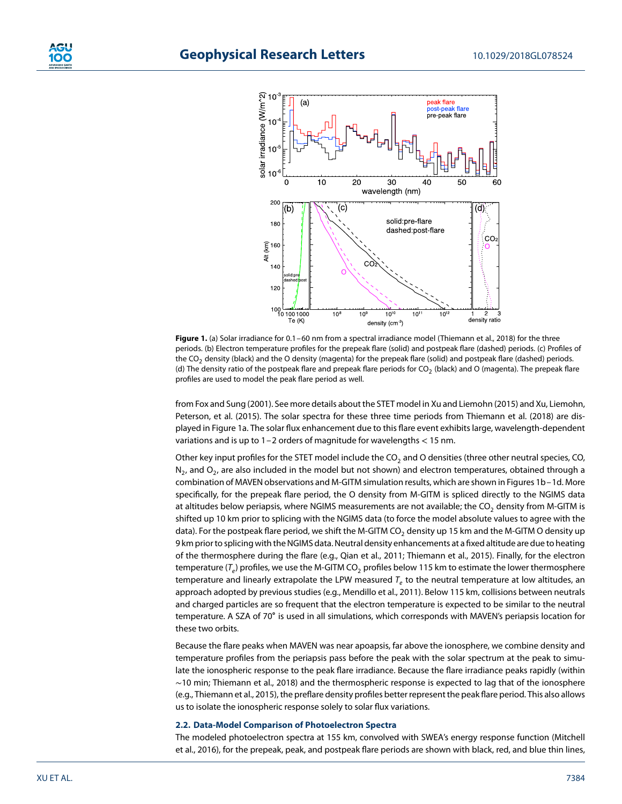

**Figure 1.** (a) Solar irradiance for 0.1–60 nm from a spectral irradiance model (Thiemann et al., 2018) for the three periods. (b) Electron temperature profiles for the prepeak flare (solid) and postpeak flare (dashed) periods. (c) Profiles of the  $CO<sub>2</sub>$  density (black) and the O density (magenta) for the prepeak flare (solid) and postpeak flare (dashed) periods. (d) The density ratio of the postpeak flare and prepeak flare periods for  $CO<sub>2</sub>$  (black) and O (magenta). The prepeak flare profiles are used to model the peak flare period as well.

from Fox and Sung (2001). See more details about the STET model in Xu and Liemohn (2015) and Xu, Liemohn, Peterson, et al. (2015). The solar spectra for these three time periods from Thiemann et al. (2018) are displayed in Figure 1a. The solar flux enhancement due to this flare event exhibits large, wavelength-dependent variations and is up to 1–2 orders of magnitude for wavelengths *<* 15 nm.

Other key input profiles for the STET model include the  $CO<sub>2</sub>$  and O densities (three other neutral species, CO,  $N<sub>2</sub>$ , and O<sub>2</sub>, are also included in the model but not shown) and electron temperatures, obtained through a combination of MAVEN observations and M-GITM simulation results, which are shown in Figures 1b–1d. More specifically, for the prepeak flare period, the O density from M-GITM is spliced directly to the NGIMS data at altitudes below periapsis, where NGIMS measurements are not available; the CO<sub>2</sub> density from M-GITM is shifted up 10 km prior to splicing with the NGIMS data (to force the model absolute values to agree with the data). For the postpeak flare period, we shift the M-GITM CO<sub>2</sub> density up 15 km and the M-GITM O density up 9 km prior to splicing with the NGIMS data. Neutral density enhancements at a fixed altitude are due to heating of the thermosphere during the flare (e.g., Qian et al., 2011; Thiemann et al., 2015). Finally, for the electron temperature ( $T_e$ ) profiles, we use the M-GITM CO<sub>2</sub> profiles below 115 km to estimate the lower thermosphere temperature and linearly extrapolate the LPW measured  $T_e$  to the neutral temperature at low altitudes, an approach adopted by previous studies (e.g., Mendillo et al., 2011). Below 115 km, collisions between neutrals and charged particles are so frequent that the electron temperature is expected to be similar to the neutral temperature. A SZA of 70∘ is used in all simulations, which corresponds with MAVEN's periapsis location for these two orbits.

Because the flare peaks when MAVEN was near apoapsis, far above the ionosphere, we combine density and temperature profiles from the periapsis pass before the peak with the solar spectrum at the peak to simulate the ionospheric response to the peak flare irradiance. Because the flare irradiance peaks rapidly (within ∼10 min; Thiemann et al., 2018) and the thermospheric response is expected to lag that of the ionosphere (e.g., Thiemann et al., 2015), the preflare density profiles better represent the peak flare period. This also allows us to isolate the ionospheric response solely to solar flux variations.

#### **2.2. Data-Model Comparison of Photoelectron Spectra**

The modeled photoelectron spectra at 155 km, convolved with SWEA's energy response function (Mitchell et al., 2016), for the prepeak, peak, and postpeak flare periods are shown with black, red, and blue thin lines,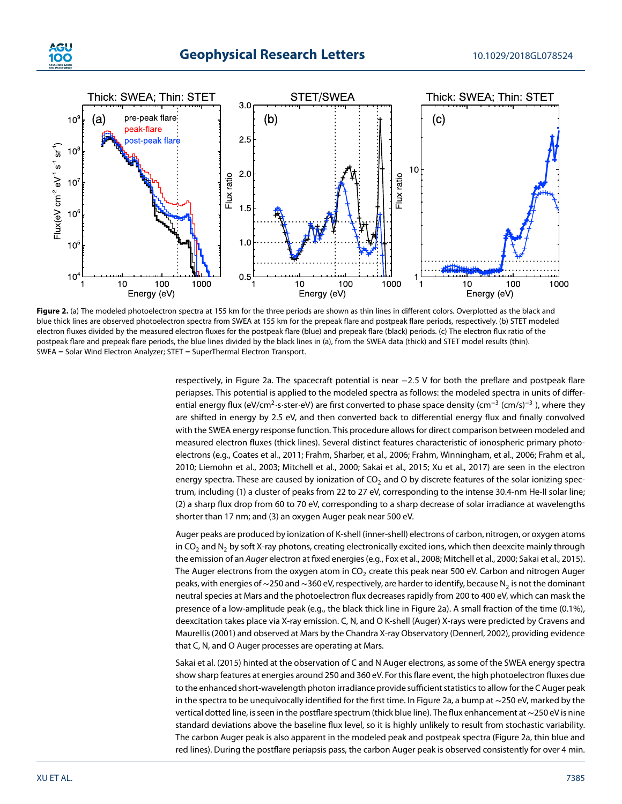





Figure 2. (a) The modeled photoelectron spectra at 155 km for the three periods are shown as thin lines in different colors. Overplotted as the black and blue thick lines are observed photoelectron spectra from SWEA at 155 km for the prepeak flare and postpeak flare periods, respectively. (b) STET modeled electron fluxes divided by the measured electron fluxes for the postpeak flare (blue) and prepeak flare (black) periods. (c) The electron flux ratio of the postpeak flare and prepeak flare periods, the blue lines divided by the black lines in (a), from the SWEA data (thick) and STET model results (thin). SWEA = Solar Wind Electron Analyzer; STET = SuperThermal Electron Transport.

respectively, in Figure 2a. The spacecraft potential is near −2*.*5 V for both the preflare and postpeak flare periapses. This potential is applied to the modeled spectra as follows: the modeled spectra in units of differential energy flux (eV/cm<sup>2</sup>⋅s⋅ster⋅eV) are first converted to phase space density (cm<sup>-3</sup> (cm/s)<sup>-3</sup>), where they are shifted in energy by 2.5 eV, and then converted back to differential energy flux and finally convolved with the SWEA energy response function. This procedure allows for direct comparison between modeled and measured electron fluxes (thick lines). Several distinct features characteristic of ionospheric primary photoelectrons (e.g., Coates et al., 2011; Frahm, Sharber, et al., 2006; Frahm, Winningham, et al., 2006; Frahm et al., 2010; Liemohn et al., 2003; Mitchell et al., 2000; Sakai et al., 2015; Xu et al., 2017) are seen in the electron energy spectra. These are caused by ionization of  $CO<sub>2</sub>$  and O by discrete features of the solar ionizing spectrum, including (1) a cluster of peaks from 22 to 27 eV, corresponding to the intense 30.4-nm He-II solar line; (2) a sharp flux drop from 60 to 70 eV, corresponding to a sharp decrease of solar irradiance at wavelengths shorter than 17 nm; and (3) an oxygen Auger peak near 500 eV.

Auger peaks are produced by ionization of K-shell (inner-shell) electrons of carbon, nitrogen, or oxygen atoms in CO<sub>2</sub> and N<sub>2</sub> by soft X-ray photons, creating electronically excited ions, which then deexcite mainly through the emission of an Auger electron at fixed energies (e.g., Fox et al., 2008; Mitchell et al., 2000; Sakai et al., 2015). The Auger electrons from the oxygen atom in CO<sub>2</sub> create this peak near 500 eV. Carbon and nitrogen Auger peaks, with energies of ∼250 and ~360 eV, respectively, are harder to identify, because N<sub>2</sub> is not the dominant neutral species at Mars and the photoelectron flux decreases rapidly from 200 to 400 eV, which can mask the presence of a low-amplitude peak (e.g., the black thick line in Figure 2a). A small fraction of the time (0.1%), deexcitation takes place via X-ray emission. C, N, and O K-shell (Auger) X-rays were predicted by Cravens and Maurellis (2001) and observed at Mars by the Chandra X-ray Observatory (Dennerl, 2002), providing evidence that C, N, and O Auger processes are operating at Mars.

Sakai et al. (2015) hinted at the observation of C and N Auger electrons, as some of the SWEA energy spectra show sharp features at energies around 250 and 360 eV. For this flare event, the high photoelectron fluxes due to the enhanced short-wavelength photon irradiance provide sufficient statistics to allow for the C Auger peak in the spectra to be unequivocally identified for the first time. In Figure 2a, a bump at ∼250 eV, marked by the vertical dotted line, is seen in the postflare spectrum (thick blue line). The flux enhancement at∼250 eV is nine standard deviations above the baseline flux level, so it is highly unlikely to result from stochastic variability. The carbon Auger peak is also apparent in the modeled peak and postpeak spectra (Figure 2a, thin blue and red lines). During the postflare periapsis pass, the carbon Auger peak is observed consistently for over 4 min.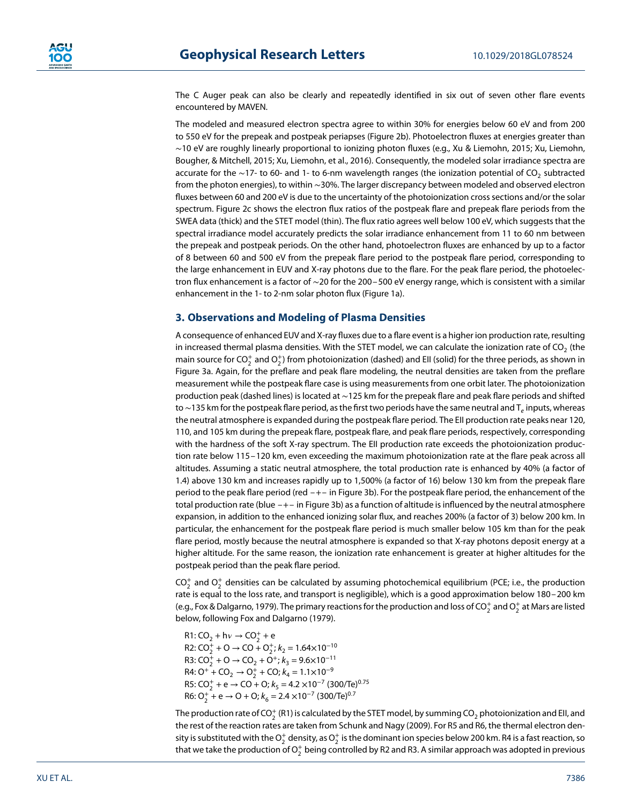The C Auger peak can also be clearly and repeatedly identified in six out of seven other flare events encountered by MAVEN.

The modeled and measured electron spectra agree to within 30% for energies below 60 eV and from 200 to 550 eV for the prepeak and postpeak periapses (Figure 2b). Photoelectron fluxes at energies greater than ∼10 eV are roughly linearly proportional to ionizing photon fluxes (e.g., Xu & Liemohn, 2015; Xu, Liemohn, Bougher, & Mitchell, 2015; Xu, Liemohn, et al., 2016). Consequently, the modeled solar irradiance spectra are accurate for the ~17- to 60- and 1- to 6-nm wavelength ranges (the ionization potential of CO<sub>2</sub> subtracted from the photon energies), to within ∼30%. The larger discrepancy between modeled and observed electron fluxes between 60 and 200 eV is due to the uncertainty of the photoionization cross sections and/or the solar spectrum. Figure 2c shows the electron flux ratios of the postpeak flare and prepeak flare periods from the SWEA data (thick) and the STET model (thin). The flux ratio agrees well below 100 eV, which suggests that the spectral irradiance model accurately predicts the solar irradiance enhancement from 11 to 60 nm between the prepeak and postpeak periods. On the other hand, photoelectron fluxes are enhanced by up to a factor of 8 between 60 and 500 eV from the prepeak flare period to the postpeak flare period, corresponding to the large enhancement in EUV and X-ray photons due to the flare. For the peak flare period, the photoelectron flux enhancement is a factor of ∼20 for the 200–500 eV energy range, which is consistent with a similar enhancement in the 1- to 2-nm solar photon flux (Figure 1a).

### **3. Observations and Modeling of Plasma Densities**

A consequence of enhanced EUV and X-ray fluxes due to a flare event is a higher ion production rate, resulting in increased thermal plasma densities. With the STET model, we can calculate the ionization rate of  $CO<sub>2</sub>$  (the main source for CO $_2^+$  and O $_2^+$ ) from photoionization (dashed) and EII (solid) for the three periods, as shown in Figure 3a. Again, for the preflare and peak flare modeling, the neutral densities are taken from the preflare measurement while the postpeak flare case is using measurements from one orbit later. The photoionization production peak (dashed lines) is located at ∼125 km for the prepeak flare and peak flare periods and shifted to∼135 km for the postpeak flare period, as the first two periods have the same neutral and T<sub>e</sub> inputs, whereas the neutral atmosphere is expanded during the postpeak flare period. The EII production rate peaks near 120, 110, and 105 km during the prepeak flare, postpeak flare, and peak flare periods, respectively, corresponding with the hardness of the soft X-ray spectrum. The EII production rate exceeds the photoionization production rate below 115–120 km, even exceeding the maximum photoionization rate at the flare peak across all altitudes. Assuming a static neutral atmosphere, the total production rate is enhanced by 40% (a factor of 1.4) above 130 km and increases rapidly up to 1,500% (a factor of 16) below 130 km from the prepeak flare period to the peak flare period (red –+– in Figure 3b). For the postpeak flare period, the enhancement of the total production rate (blue –+– in Figure 3b) as a function of altitude is influenced by the neutral atmosphere expansion, in addition to the enhanced ionizing solar flux, and reaches 200% (a factor of 3) below 200 km. In particular, the enhancement for the postpeak flare period is much smaller below 105 km than for the peak flare period, mostly because the neutral atmosphere is expanded so that X-ray photons deposit energy at a higher altitude. For the same reason, the ionization rate enhancement is greater at higher altitudes for the postpeak period than the peak flare period.

 $CO_2^+$  and  $O_2^+$  densities can be calculated by assuming photochemical equilibrium (PCE; i.e., the production rate is equal to the loss rate, and transport is negligible), which is a good approximation below 180–200 km (e.g., Fox & Dalgarno, 1979). The primary reactions for the production and loss of CO $_2^+$  and O $_2^+$  at Mars are listed below, following Fox and Dalgarno (1979).

 $R1: CO<sub>2</sub> + h\nu \rightarrow CO<sub>2</sub><sup>+</sup> + e$ R2:  $CO_2^+$  + O  $\rightarrow$  CO +  $O_2^+$ ;  $k_2$  = 1.64×10<sup>-10</sup> R3:  $CO_2^+$  + O  $\rightarrow$  CO<sub>2</sub> + O<sup>+</sup>;  $k_3$  = 9.6×10<sup>-11</sup> R4:  $O^+$  + CO<sub>2</sub>  $\rightarrow$  O<sub>2</sub><sup>+</sup> + CO;  $k_4$  = 1.1×10<sup>-9</sup> R5:  $CO_2^+ + e \rightarrow CO + O$ ;  $k_5 = 4.2 \times 10^{-7}$  (300/Te)<sup>0.75</sup>  $R6: O_2^+ + e \rightarrow O + O$ ;  $k_6 = 2.4 \times 10^{-7}$  (300/Te)<sup>0.7</sup>

The production rate of CO $_2^+$  (R1) is calculated by the STET model, by summing CO $_2$  photoionization and EII, and the rest of the reaction rates are taken from Schunk and Nagy (2009). For R5 and R6, the thermal electron density is substituted with the  $\rm O_2^+$  density, as  $\rm O_2^+$  is the dominant ion species below 200 km. R4 is a fast reaction, so that we take the production of  $\mathrm{O}_2^+$  being controlled by R2 and R3. A similar approach was adopted in previous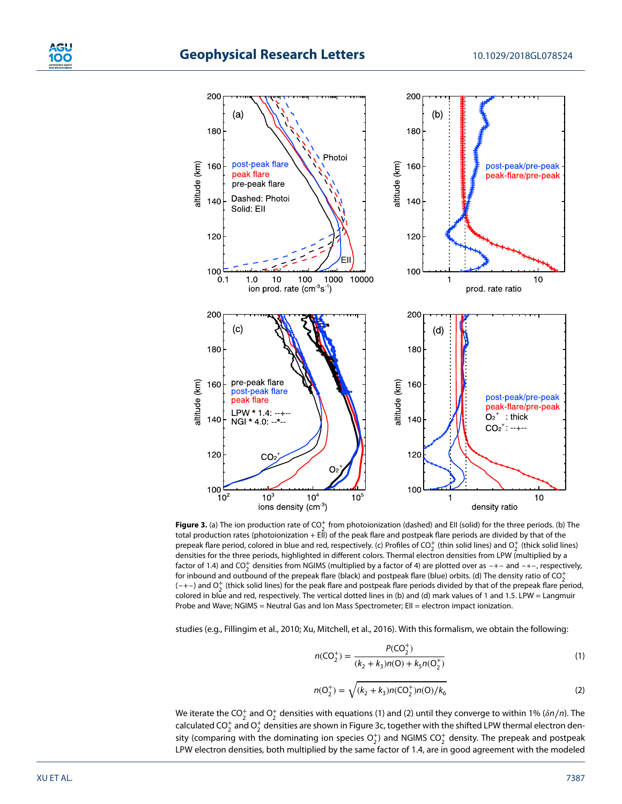

**Figure 3.** (a) The ion production rate of  $CO_2^+$  from photoionization (dashed) and EII (solid) for the three periods. (b) The total production rates (photoionization + EII) of the peak flare and postpeak flare periods are divided by that of the prepeak flare period, colored in blue and red, respectively. (c) Profiles of CO<sub>2</sub> (thin solid lines) and O<sub>2</sub> (thick solid lines) densities for the three periods, highlighted in different colors. Thermal electron densities from LPW (multiplied by a factor of 1.4) and CO<sup>+</sup> densities from NGIMS (multiplied by a factor of 4) are plotted over as  $-+-$  and  $-*-$ , respectively, for inbound and outbound of the prepeak flare (black) and postpeak flare (blue) orbits. (d) The density ratio of  $CO_2^+$  $(-+-)$  and  $O<sub>2</sub><sup>+</sup>$  (thick solid lines) for the peak flare and postpeak flare periods divided by that of the prepeak flare period, colored in blue and red, respectively. The vertical dotted lines in (b) and (d) mark values of 1 and 1.5. LPW = Langmuir Probe and Wave; NGIMS = Neutral Gas and Ion Mass Spectrometer; EII = electron impact ionization.

studies (e.g., Fillingim et al., 2010; Xu, Mitchell, et al., 2016). With this formalism, we obtain the following:

$$
n(CO_2^+) = \frac{P(CO_2^+)}{(k_2 + k_3)n(O) + k_5n(O_2^+)}
$$
\n(1)

$$
n(O_2^+) = \sqrt{(k_2 + k_3)n(CO_2^+)n(O)/k_6}
$$
 (2)

We iterate the CO<sup>+</sup> and O<sup>+</sup> densities with equations (1) and (2) until they converge to within 1% ( $\delta n/n$ ). The calculated CO $_2^+$  and O $_2^+$  densities are shown in Figure 3c, together with the shifted LPW thermal electron density (comparing with the dominating ion species  $\mathrm{O}_2^+$ ) and NGIMS CO $_2^+$  density. The prepeak and postpeak LPW electron densities, both multiplied by the same factor of 1.4, are in good agreement with the modeled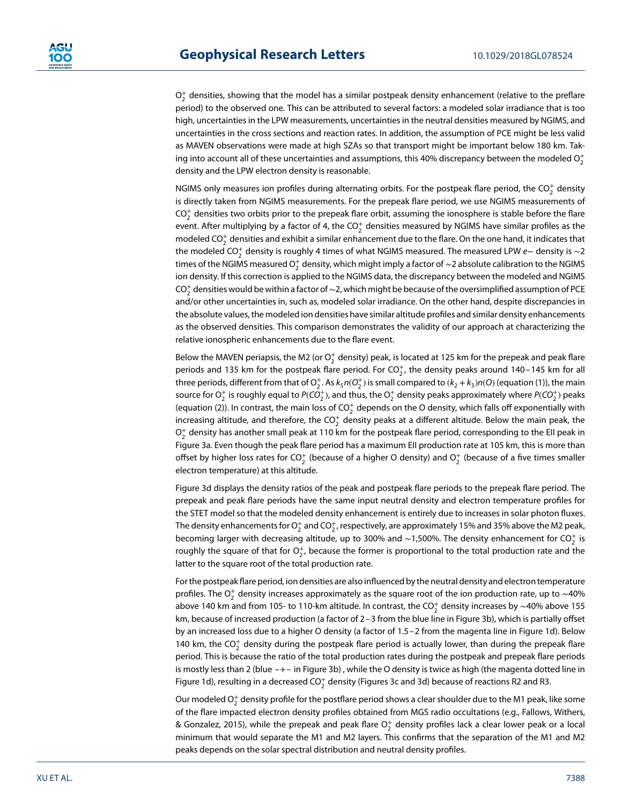$\mathrm{O}_2^+$  densities, showing that the model has a similar postpeak density enhancement (relative to the preflare period) to the observed one. This can be attributed to several factors: a modeled solar irradiance that is too high, uncertainties in the LPW measurements, uncertainties in the neutral densities measured by NGIMS, and uncertainties in the cross sections and reaction rates. In addition, the assumption of PCE might be less valid as MAVEN observations were made at high SZAs so that transport might be important below 180 km. Taking into account all of these uncertainties and assumptions, this 40% discrepancy between the modeled  $\mathrm{O}_2^+$ density and the LPW electron density is reasonable.

NGIMS only measures ion profiles during alternating orbits. For the postpeak flare period, the CO $_2^+$  density is directly taken from NGIMS measurements. For the prepeak flare period, we use NGIMS measurements of  $\text{CO}_2^+$  densities two orbits prior to the prepeak flare orbit, assuming the ionosphere is stable before the flare event. After multiplying by a factor of 4, the CO $_2^{\rm +}$  densities measured by NGIMS have similar profiles as the modeled CO $_2^+$  densities and exhibit a similar enhancement due to the flare. On the one hand, it indicates that the modeled CO $_2^+$  density is roughly 4 times of what NGIMS measured. The measured LPW  $e-$  density is  $\sim$ 2 times of the NGIMS measured O $_2^+$  density, which might imply a factor of  $\sim$ 2 absolute calibration to the NGIMS ion density. If this correction is applied to the NGIMS data, the discrepancy between the modeled and NGIMS CO $_2^+$  densities would be within a factor of ~2, which might be because of the oversimplified assumption of PCE and/or other uncertainties in, such as, modeled solar irradiance. On the other hand, despite discrepancies in the absolute values, the modeled ion densities have similar altitude profiles and similar density enhancements as the observed densities. This comparison demonstrates the validity of our approach at characterizing the relative ionospheric enhancements due to the flare event.

Below the MAVEN periapsis, the M2 (or  $\mathrm{O}_2^+$  density) peak, is located at 125 km for the prepeak and peak flare periods and 135 km for the postpeak flare period. For  $CO_2^+$ , the density peaks around 140–145 km for all three periods, different from that of  $O_2^+$ . As  $k_5n(O_2^+)$  is small compared to  $(k_2+k_3)n(O)$  (equation (1)), the main source for  $\mathrm{O}_2^+$  is roughly equal to  $\mathit{P(CO}_2^+)$ , and thus, the  $\mathrm{O}_2^+$  density peaks approximately where  $\mathit{P(CO}_2^+)$  peaks (equation (2)). In contrast, the main loss of CO $_2^+$  depends on the O density, which falls off exponentially with increasing altitude, and therefore, the CO $_2^+$  density peaks at a different altitude. Below the main peak, the  $\mathrm{O}_2^+$  density has another small peak at 110 km for the postpeak flare period, corresponding to the EII peak in Figure 3a. Even though the peak flare period has a maximum EII production rate at 105 km, this is more than offset by higher loss rates for CO $_2^+$  (because of a higher O density) and O $_2^+$  (because of a five times smaller electron temperature) at this altitude.

Figure 3d displays the density ratios of the peak and postpeak flare periods to the prepeak flare period. The prepeak and peak flare periods have the same input neutral density and electron temperature profiles for the STET model so that the modeled density enhancement is entirely due to increases in solar photon fluxes. The density enhancements for  $\mathrm{O}_2^+$  and CO $_2^+$ , respectively, are approximately 15% and 35% above the M2 peak, becoming larger with decreasing altitude, up to 300% and ~1,500%. The density enhancement for CO $_2^+$  is roughly the square of that for  $O_2^+$ , because the former is proportional to the total production rate and the latter to the square root of the total production rate.

For the postpeak flare period, ion densities are also influenced by the neutral density and electron temperature profiles. The O $_2^+$  density increases approximately as the square root of the ion production rate, up to  $\sim$ 40% above 140 km and from 105- to 110-km altitude. In contrast, the CO $_2^+$  density increases by  $\sim$ 40% above 155 km, because of increased production (a factor of 2–3 from the blue line in Figure 3b), which is partially offset by an increased loss due to a higher O density (a factor of 1.5–2 from the magenta line in Figure 1d). Below 140 km, the CO $_2^+$  density during the postpeak flare period is actually lower, than during the prepeak flare period. This is because the ratio of the total production rates during the postpeak and prepeak flare periods is mostly less than 2 (blue –+– in Figure 3b) , while the O density is twice as high (the magenta dotted line in Figure 1d), resulting in a decreased CO $_2^+$  density (Figures 3c and 3d) because of reactions R2 and R3.

Our modeled  $\mathrm{O}_2^+$  density profile for the postflare period shows a clear shoulder due to the M1 peak, like some of the flare impacted electron density profiles obtained from MGS radio occultations (e.g., Fallows, Withers, & Gonzalez, 2015), while the prepeak and peak flare  $\mathrm{O}_2^+$  density profiles lack a clear lower peak or a local minimum that would separate the M1 and M2 layers. This confirms that the separation of the M1 and M2 peaks depends on the solar spectral distribution and neutral density profiles.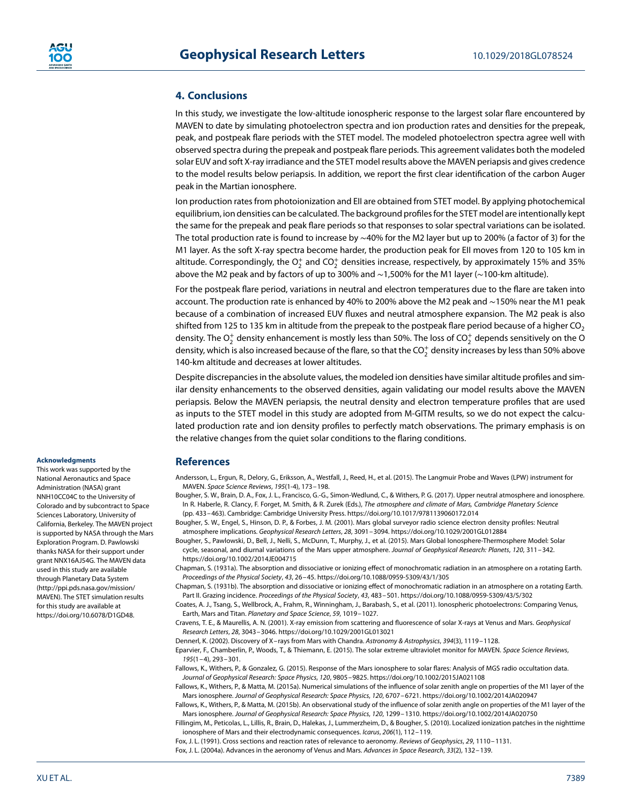## **4. Conclusions**

In this study, we investigate the low-altitude ionospheric response to the largest solar flare encountered by MAVEN to date by simulating photoelectron spectra and ion production rates and densities for the prepeak, peak, and postpeak flare periods with the STET model. The modeled photoelectron spectra agree well with observed spectra during the prepeak and postpeak flare periods. This agreement validates both the modeled solar EUV and soft X-ray irradiance and the STET model results above the MAVEN periapsis and gives credence to the model results below periapsis. In addition, we report the first clear identification of the carbon Auger peak in the Martian ionosphere.

Ion production rates from photoionization and EII are obtained from STET model. By applying photochemical equilibrium, ion densities can be calculated. The background profiles for the STET model are intentionally kept the same for the prepeak and peak flare periods so that responses to solar spectral variations can be isolated. The total production rate is found to increase by ∼40% for the M2 layer but up to 200% (a factor of 3) for the M1 layer. As the soft X-ray spectra become harder, the production peak for EII moves from 120 to 105 km in altitude. Correspondingly, the  $\mathrm{O}_2^+$  and C $\mathrm{O}_2^+$  densities increase, respectively, by approximately 15% and 35% above the M2 peak and by factors of up to 300% and ∼1,500% for the M1 layer (∼100-km altitude).

For the postpeak flare period, variations in neutral and electron temperatures due to the flare are taken into account. The production rate is enhanced by 40% to 200% above the M2 peak and ∼150% near the M1 peak because of a combination of increased EUV fluxes and neutral atmosphere expansion. The M2 peak is also shifted from 125 to 135 km in altitude from the prepeak to the postpeak flare period because of a higher  $CO<sub>2</sub>$ density. The  $\mathrm{O}_2^+$  density enhancement is mostly less than 50%. The loss of C $\mathrm{O}_2^+$  depends sensitively on the O density, which is also increased because of the flare, so that the CO $_2^+$  density increases by less than 50% above 140-km altitude and decreases at lower altitudes.

Despite discrepancies in the absolute values, the modeled ion densities have similar altitude profiles and similar density enhancements to the observed densities, again validating our model results above the MAVEN periapsis. Below the MAVEN periapsis, the neutral density and electron temperature profiles that are used as inputs to the STET model in this study are adopted from M-GITM results, so we do not expect the calculated production rate and ion density profiles to perfectly match observations. The primary emphasis is on the relative changes from the quiet solar conditions to the flaring conditions.

## **References**

Andersson, L., Ergun, R., Delory, G., Eriksson, A., Westfall, J., Reed, H., et al. (2015). The Langmuir Probe and Waves (LPW) instrument for MAVEN. Space Science Reviews, 195(1-4), 173–198.

Bougher, S. W., Brain, D. A., Fox, J. L., Francisco, G.-G., Simon-Wedlund, C., & Withers, P. G. (2017). Upper neutral atmosphere and ionosphere. In R. Haberle, R. Clancy, F. Forget, M. Smith, & R. Zurek (Eds.), The atmosphere and climate of Mars, Cambridge Planetary Science (pp. 433–463). Cambridge: Cambridge University Press.<https://doi.org/10.1017/9781139060172.014>

Bougher, S. W., Engel, S., Hinson, D. P., & Forbes, J. M. (2001). Mars global surveyor radio science electron density profiles: Neutral atmosphere implications. Geophysical Research Letters, 28, 3091–3094.<https://doi.org/10.1029/2001GL012884>

Bougher, S., Pawlowski, D., Bell, J., Nelli, S., McDunn, T., Murphy, J., et al. (2015). Mars Global Ionosphere-Thermosphere Model: Solar cycle, seasonal, and diurnal variations of the Mars upper atmosphere. Journal of Geophysical Research: Planets, 120, 311-342. <https://doi.org/10.1002/2014JE004715>

Chapman, S. (1931a). The absorption and dissociative or ionizing effect of monochromatic radiation in an atmosphere on a rotating Earth. Proceedings of the Physical Society, 43, 26–45.<https://doi.org/10.1088/0959-5309/43/1/305>

Chapman, S. (1931b). The absorption and dissociative or ionizing effect of monochromatic radiation in an atmosphere on a rotating Earth. Part II. Grazing incidence. Proceedings of the Physical Society, 43, 483–501.<https://doi.org/10.1088/0959-5309/43/5/302>

Coates, A. J., Tsang, S., Wellbrock, A., Frahm, R., Winningham, J., Barabash, S., et al. (2011). Ionospheric photoelectrons: Comparing Venus, Earth, Mars and Titan. Planetary and Space Science, 59, 1019–1027.

Cravens, T. E., & Maurellis, A. N. (2001). X-ray emission from scattering and fluorescence of solar X-rays at Venus and Mars. Geophysical Research Letters, 28, 3043–3046.<https://doi.org/10.1029/2001GL013021>

Dennerl, K. (2002). Discovery of X– rays from Mars with Chandra. Astronomy & Astrophysics, 394(3), 1119–1128.

Eparvier, F., Chamberlin, P., Woods, T., & Thiemann, E. (2015). The solar extreme ultraviolet monitor for MAVEN. Space Science Reviews, 195(1–4), 293–301.

Fallows, K., Withers, P., & Gonzalez, G. (2015). Response of the Mars ionosphere to solar flares: Analysis of MGS radio occultation data. Journal of Geophysical Research: Space Physics, 120, 9805–9825.<https://doi.org/10.1002/2015JA021108>

Fallows, K., Withers, P., & Matta, M. (2015a). Numerical simulations of the influence of solar zenith angle on properties of the M1 layer of the Mars ionosphere. Journal of Geophysical Research: Space Physics, 120, 6707–6721.<https://doi.org/10.1002/2014JA020947>

Fallows, K., Withers, P., & Matta, M. (2015b). An observational study of the influence of solar zenith angle on properties of the M1 layer of the Mars ionosphere. Journal of Geophysical Research: Space Physics, 120, 1299–1310.<https://doi.org/10.1002/2014JA020750>

Fillingim, M., Peticolas, L., Lillis, R., Brain, D., Halekas, J., Lummerzheim, D., & Bougher, S. (2010). Localized ionization patches in the nighttime ionosphere of Mars and their electrodynamic consequences. Icarus, 206(1), 112–119.

Fox, J. L. (1991). Cross sections and reaction rates of relevance to aeronomy. Reviews of Geophysics, 29, 1110–1131.

Fox, J. L. (2004a). Advances in the aeronomy of Venus and Mars. Advances in Space Research, 33(2), 132–139.

#### **Acknowledgments**

This work was supported by the National Aeronautics and Space Administration (NASA) grant NNH10CC04C to the University of Colorado and by subcontract to Space Sciences Laboratory, University of California, Berkeley. The MAVEN project is supported by NASA through the Mars Exploration Program. D. Pawlowski thanks NASA for their support under grant NNX16AJ54G. The MAVEN data used in this study are available through Planetary Data System [\(http://ppi.pds.nasa.gov/mission/](http://ppi.pds.nasa.gov/mission/MAVEN) [MAVEN\)](http://ppi.pds.nasa.gov/mission/MAVEN). The STET simulation results for this study are available at [https://doi.org/10.6078/D1GD48.](https://doi.org/10.6078/D1GD48)